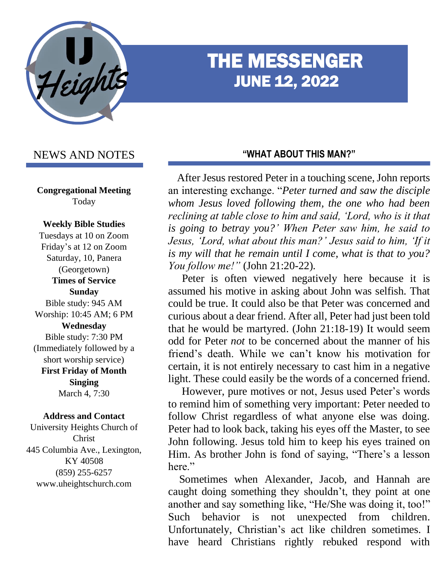

# THE MESSENGER JUNE 12, 2022

# NEWS AND NOTES

**Congregational Meeting** Today

#### **Weekly Bible Studies**

Tuesdays at 10 on Zoom Friday's at 12 on Zoom Saturday, 10, Panera (Georgetown) **Times of Service Sunday** Bible study: 945 AM Worship: 10:45 AM; 6 PM **Wednesday** Bible study: 7:30 PM (Immediately followed by a short worship service) **First Friday of Month Singing** March 4, 7:30

#### **Address and Contact**

University Heights Church of Christ 445 Columbia Ave., Lexington, KY 40508 (859) 255-6257 www.uheightschurch.com

#### **"WHAT ABOUT THIS MAN?"**

 After Jesus restored Peter in a touching scene, John reports an interesting exchange. "*Peter turned and saw the disciple whom Jesus loved following them, the one who had been reclining at table close to him and said, 'Lord, who is it that is going to betray you?' When Peter saw him, he said to Jesus, 'Lord, what about this man?' Jesus said to him, 'If it is my will that he remain until I come, what is that to you? You follow me!"* (John 21:20-22).

 Peter is often viewed negatively here because it is assumed his motive in asking about John was selfish. That could be true. It could also be that Peter was concerned and curious about a dear friend. After all, Peter had just been told that he would be martyred. (John 21:18-19) It would seem odd for Peter *not* to be concerned about the manner of his friend's death. While we can't know his motivation for certain, it is not entirely necessary to cast him in a negative light. These could easily be the words of a concerned friend.

 However, pure motives or not, Jesus used Peter's words to remind him of something very important: Peter needed to follow Christ regardless of what anyone else was doing. Peter had to look back, taking his eyes off the Master, to see John following. Jesus told him to keep his eyes trained on Him. As brother John is fond of saying, "There's a lesson here."

 Sometimes when Alexander, Jacob, and Hannah are caught doing something they shouldn't, they point at one another and say something like, "He/She was doing it, too!" Such behavior is not unexpected from children. Unfortunately, Christian's act like children sometimes. I have heard Christians rightly rebuked respond with